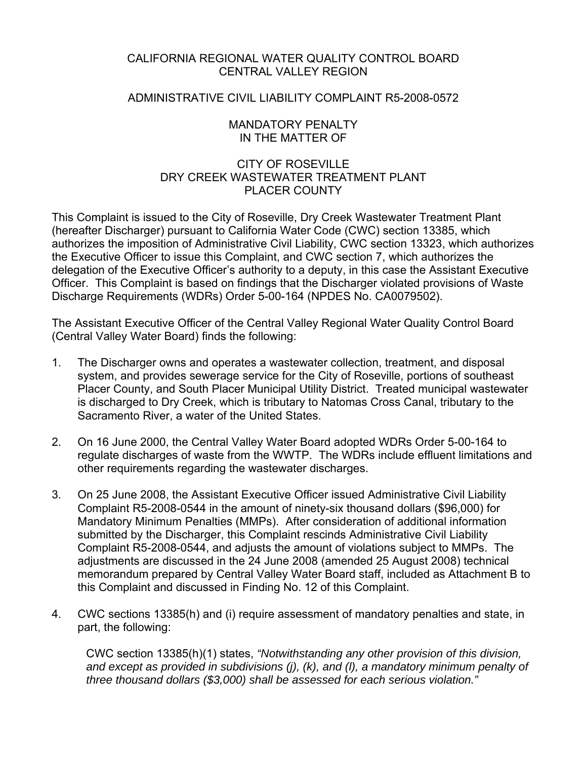# CALIFORNIA REGIONAL WATER QUALITY CONTROL BOARD CENTRAL VALLEY REGION

### ADMINISTRATIVE CIVIL LIABILITY COMPLAINT R5-2008-0572

### MANDATORY PENALTY IN THE MATTER OF

# CITY OF ROSEVILLE DRY CREEK WASTEWATER TREATMENT PLANT PLACER COUNTY

This Complaint is issued to the City of Roseville, Dry Creek Wastewater Treatment Plant (hereafter Discharger) pursuant to California Water Code (CWC) section 13385, which authorizes the imposition of Administrative Civil Liability, CWC section 13323, which authorizes the Executive Officer to issue this Complaint, and CWC section 7, which authorizes the delegation of the Executive Officer's authority to a deputy, in this case the Assistant Executive Officer. This Complaint is based on findings that the Discharger violated provisions of Waste Discharge Requirements (WDRs) Order 5-00-164 (NPDES No. CA0079502).

The Assistant Executive Officer of the Central Valley Regional Water Quality Control Board (Central Valley Water Board) finds the following:

- 1. The Discharger owns and operates a wastewater collection, treatment, and disposal system, and provides sewerage service for the City of Roseville, portions of southeast Placer County, and South Placer Municipal Utility District. Treated municipal wastewater is discharged to Dry Creek, which is tributary to Natomas Cross Canal, tributary to the Sacramento River, a water of the United States.
- 2. On 16 June 2000, the Central Valley Water Board adopted WDRs Order 5-00-164 to regulate discharges of waste from the WWTP. The WDRs include effluent limitations and other requirements regarding the wastewater discharges.
- 3. On 25 June 2008, the Assistant Executive Officer issued Administrative Civil Liability Complaint R5-2008-0544 in the amount of ninety-six thousand dollars (\$96,000) for Mandatory Minimum Penalties (MMPs). After consideration of additional information submitted by the Discharger, this Complaint rescinds Administrative Civil Liability Complaint R5-2008-0544, and adjusts the amount of violations subject to MMPs. The adjustments are discussed in the 24 June 2008 (amended 25 August 2008) technical memorandum prepared by Central Valley Water Board staff, included as Attachment B to this Complaint and discussed in Finding No. 12 of this Complaint.
- 4. CWC sections 13385(h) and (i) require assessment of mandatory penalties and state, in part, the following:

CWC section 13385(h)(1) states, *"Notwithstanding any other provision of this division, and except as provided in subdivisions (j), (k), and (l), a mandatory minimum penalty of three thousand dollars (\$3,000) shall be assessed for each serious violation."*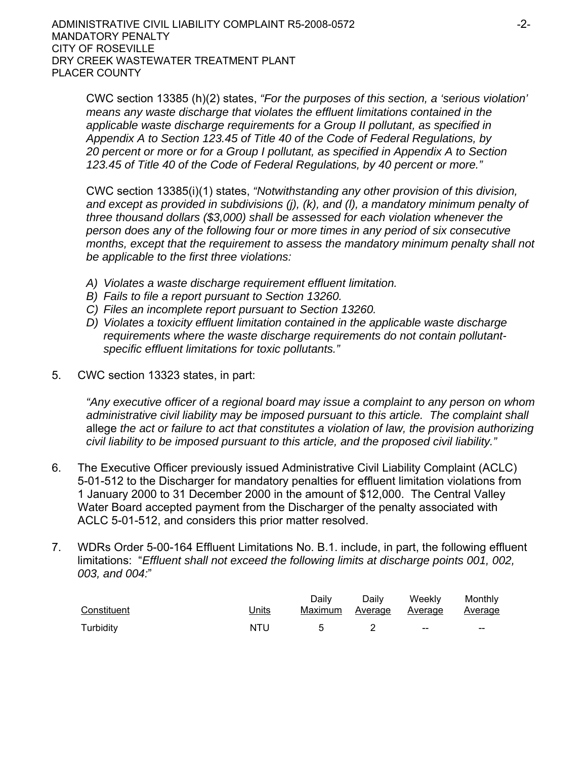CWC section 13385 (h)(2) states, *"For the purposes of this section, a 'serious violation' means any waste discharge that violates the effluent limitations contained in the applicable waste discharge requirements for a Group II pollutant, as specified in Appendix A to Section 123.45 of Title 40 of the Code of Federal Regulations, by 20 percent or more or for a Group I pollutant, as specified in Appendix A to Section 123.45 of Title 40 of the Code of Federal Regulations, by 40 percent or more."*

CWC section 13385(i)(1) states, *"Notwithstanding any other provision of this division, and except as provided in subdivisions (j), (k), and (l), a mandatory minimum penalty of three thousand dollars (\$3,000) shall be assessed for each violation whenever the person does any of the following four or more times in any period of six consecutive months, except that the requirement to assess the mandatory minimum penalty shall not be applicable to the first three violations:*

- *A) Violates a waste discharge requirement effluent limitation.*
- *B) Fails to file a report pursuant to Section 13260.*
- *C) Files an incomplete report pursuant to Section 13260.*
- *D) Violates a toxicity effluent limitation contained in the applicable waste discharge requirements where the waste discharge requirements do not contain pollutantspecific effluent limitations for toxic pollutants."*
- 5. CWC section 13323 states, in part:

*"Any executive officer of a regional board may issue a complaint to any person on whom administrative civil liability may be imposed pursuant to this article. The complaint shall*  allege *the act or failure to act that constitutes a violation of law, the provision authorizing civil liability to be imposed pursuant to this article, and the proposed civil liability."*

- 6. The Executive Officer previously issued Administrative Civil Liability Complaint (ACLC) 5-01-512 to the Discharger for mandatory penalties for effluent limitation violations from 1 January 2000 to 31 December 2000 in the amount of \$12,000. The Central Valley Water Board accepted payment from the Discharger of the penalty associated with ACLC 5-01-512, and considers this prior matter resolved.
- 7. WDRs Order 5-00-164 Effluent Limitations No. B.1. include, in part, the following effluent limitations: "*Effluent shall not exceed the following limits at discharge points 001, 002, 003, and 004:*"

| Constituent | <u>Units</u> | Dailv | Dailv | Weekly<br><u>Maximum Average Average Average</u> | Monthly |
|-------------|--------------|-------|-------|--------------------------------------------------|---------|
| Turbidity   | NTU          |       |       | $-$                                              | $- -$   |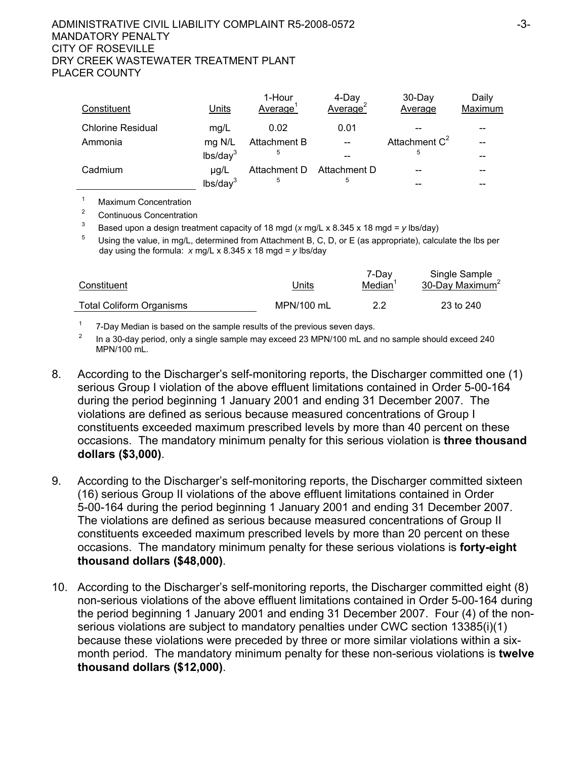### ADMINISTRATIVE CIVIL LIABILITY COMPLAINT R5-2008-0572 -3- MANDATORY PENALTY CITY OF ROSEVILLE DRY CREEK WASTEWATER TREATMENT PLANT PLACER COUNTY

| Constituent              | Units                | 1-Hour<br>Average | 4-Day<br>Average <sup>2</sup> | $30$ -Day<br>Average | Daily<br>Maximum |
|--------------------------|----------------------|-------------------|-------------------------------|----------------------|------------------|
| <b>Chlorine Residual</b> | mq/L                 | 0.02              | 0.01                          |                      |                  |
| Ammonia                  | mg N/L               | Attachment B      | $- -$                         | Attachment $C^2$     |                  |
|                          | lbs/day <sup>3</sup> | 5                 |                               | 5                    |                  |
| Cadmium                  | $\mu q/L$            | Attachment D      | Attachment D                  |                      |                  |
|                          | lbs/day <sup>3</sup> | 5                 | 5                             |                      |                  |

1 Maximum Concentration

2 Continuous Concentration

3 Based upon a design treatment capacity of 18 mgd ( $\times$  mg/L  $\times$  8.345  $\times$  18 mgd =  $\times$  lbs/day)

 Using the value, in mg/L, determined from Attachment B, C, D, or E (as appropriate), calculate the lbs per day using the formula: *x* mg/L x 8.345 x 18 mgd = *y* lbs/day

| Constituent                     | Jnits      | 7-Dav<br>Median | Single Sample<br>30-Day Maximum <sup>2</sup> |
|---------------------------------|------------|-----------------|----------------------------------------------|
| <b>Total Coliform Organisms</b> | MPN/100 mL |                 | 23 to 240                                    |

1 7-Day Median is based on the sample results of the previous seven days. 2

 In a 30-day period, only a single sample may exceed 23 MPN/100 mL and no sample should exceed 240 MPN/100 mL.

- 8. According to the Discharger's self-monitoring reports, the Discharger committed one (1) serious Group I violation of the above effluent limitations contained in Order 5-00-164 during the period beginning 1 January 2001 and ending 31 December 2007. The violations are defined as serious because measured concentrations of Group I constituents exceeded maximum prescribed levels by more than 40 percent on these occasions. The mandatory minimum penalty for this serious violation is **three thousand dollars (\$3,000)**.
- 9. According to the Discharger's self-monitoring reports, the Discharger committed sixteen (16) serious Group II violations of the above effluent limitations contained in Order 5-00-164 during the period beginning 1 January 2001 and ending 31 December 2007. The violations are defined as serious because measured concentrations of Group II constituents exceeded maximum prescribed levels by more than 20 percent on these occasions. The mandatory minimum penalty for these serious violations is **forty-eight thousand dollars (\$48,000)**.
- 10. According to the Discharger's self-monitoring reports, the Discharger committed eight (8) non-serious violations of the above effluent limitations contained in Order 5-00-164 during the period beginning 1 January 2001 and ending 31 December 2007. Four (4) of the nonserious violations are subject to mandatory penalties under CWC section 13385(i)(1) because these violations were preceded by three or more similar violations within a sixmonth period. The mandatory minimum penalty for these non-serious violations is **twelve thousand dollars (\$12,000)**.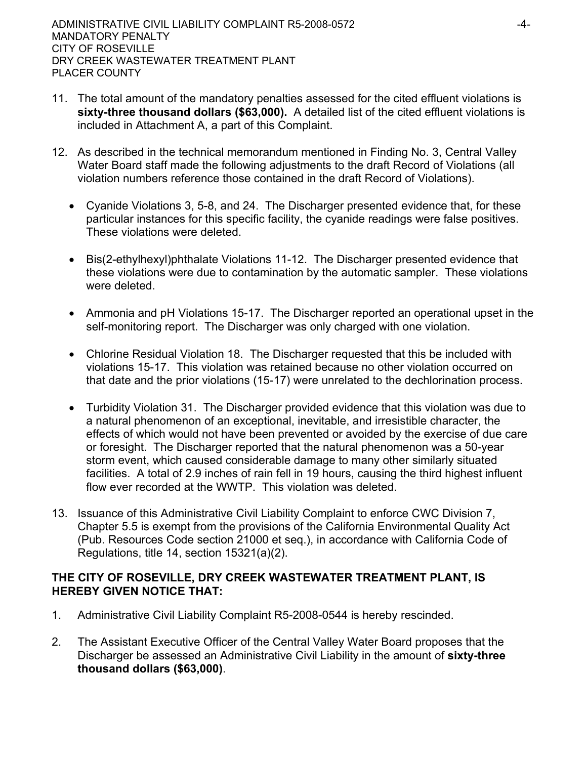- 11. The total amount of the mandatory penalties assessed for the cited effluent violations is **sixty-three thousand dollars (\$63,000).** A detailed list of the cited effluent violations is included in Attachment A, a part of this Complaint.
- 12. As described in the technical memorandum mentioned in Finding No. 3, Central Valley Water Board staff made the following adjustments to the draft Record of Violations (all violation numbers reference those contained in the draft Record of Violations).
	- Cyanide Violations 3, 5-8, and 24. The Discharger presented evidence that, for these particular instances for this specific facility, the cyanide readings were false positives. These violations were deleted.
	- Bis(2-ethylhexyl)phthalate Violations 11-12. The Discharger presented evidence that these violations were due to contamination by the automatic sampler. These violations were deleted.
	- Ammonia and pH Violations 15-17. The Discharger reported an operational upset in the self-monitoring report. The Discharger was only charged with one violation.
	- Chlorine Residual Violation 18. The Discharger requested that this be included with violations 15-17. This violation was retained because no other violation occurred on that date and the prior violations (15-17) were unrelated to the dechlorination process.
	- Turbidity Violation 31. The Discharger provided evidence that this violation was due to a natural phenomenon of an exceptional, inevitable, and irresistible character, the effects of which would not have been prevented or avoided by the exercise of due care or foresight. The Discharger reported that the natural phenomenon was a 50-year storm event, which caused considerable damage to many other similarly situated facilities. A total of 2.9 inches of rain fell in 19 hours, causing the third highest influent flow ever recorded at the WWTP. This violation was deleted.
- 13. Issuance of this Administrative Civil Liability Complaint to enforce CWC Division 7, Chapter 5.5 is exempt from the provisions of the California Environmental Quality Act (Pub. Resources Code section 21000 et seq.), in accordance with California Code of Regulations, title 14, section 15321(a)(2).

# **THE CITY OF ROSEVILLE, DRY CREEK WASTEWATER TREATMENT PLANT, IS HEREBY GIVEN NOTICE THAT:**

- 1. Administrative Civil Liability Complaint R5-2008-0544 is hereby rescinded.
- 2. The Assistant Executive Officer of the Central Valley Water Board proposes that the Discharger be assessed an Administrative Civil Liability in the amount of **sixty-three thousand dollars (\$63,000)**.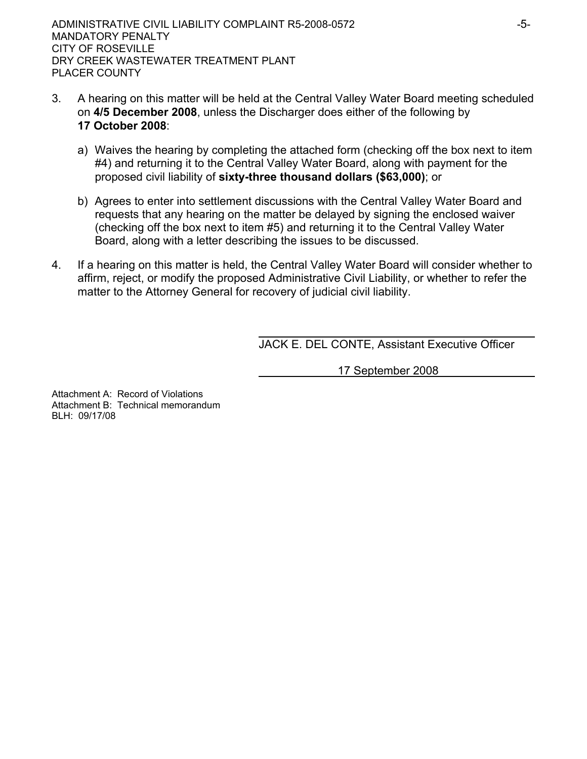- 3. A hearing on this matter will be held at the Central Valley Water Board meeting scheduled on **4/5 December 2008**, unless the Discharger does either of the following by **17 October 2008**:
	- a) Waives the hearing by completing the attached form (checking off the box next to item #4) and returning it to the Central Valley Water Board, along with payment for the proposed civil liability of **sixty-three thousand dollars (\$63,000)**; or
	- b) Agrees to enter into settlement discussions with the Central Valley Water Board and requests that any hearing on the matter be delayed by signing the enclosed waiver (checking off the box next to item #5) and returning it to the Central Valley Water Board, along with a letter describing the issues to be discussed.
- 4. If a hearing on this matter is held, the Central Valley Water Board will consider whether to affirm, reject, or modify the proposed Administrative Civil Liability, or whether to refer the matter to the Attorney General for recovery of judicial civil liability.

JACK E. DEL CONTE, Assistant Executive Officer

17 September 2008

Attachment A: Record of Violations Attachment B: Technical memorandum BLH: 09/17/08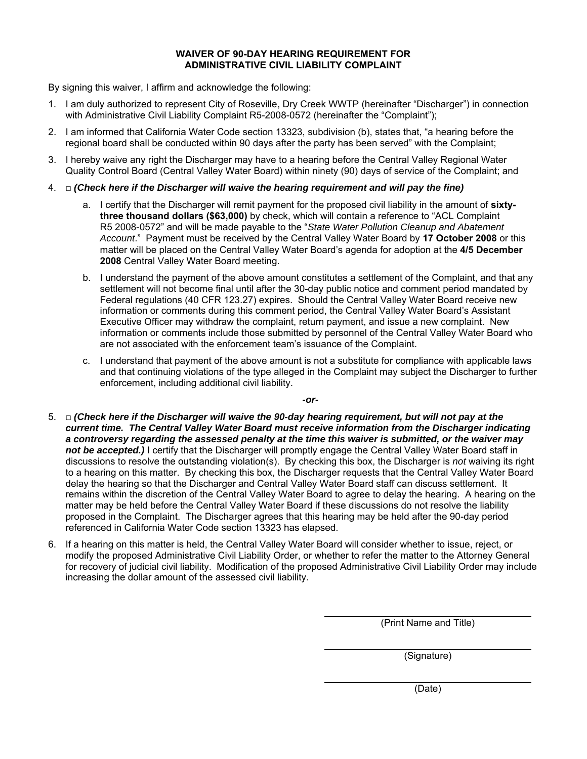#### **WAIVER OF 90-DAY HEARING REQUIREMENT FOR ADMINISTRATIVE CIVIL LIABILITY COMPLAINT**

By signing this waiver, I affirm and acknowledge the following:

- 1. I am duly authorized to represent City of Roseville, Dry Creek WWTP (hereinafter "Discharger") in connection with Administrative Civil Liability Complaint R5-2008-0572 (hereinafter the "Complaint");
- 2. I am informed that California Water Code section 13323, subdivision (b), states that, "a hearing before the regional board shall be conducted within 90 days after the party has been served" with the Complaint;
- 3. I hereby waive any right the Discharger may have to a hearing before the Central Valley Regional Water Quality Control Board (Central Valley Water Board) within ninety (90) days of service of the Complaint; and
- 4. **□** *(Check here if the Discharger will waive the hearing requirement and will pay the fine)* 
	- a. I certify that the Discharger will remit payment for the proposed civil liability in the amount of **sixtythree thousand dollars (\$63,000)** by check, which will contain a reference to "ACL Complaint R5 2008-0572" and will be made payable to the "*State Water Pollution Cleanup and Abatement Account*." Payment must be received by the Central Valley Water Board by **17 October 2008** or this matter will be placed on the Central Valley Water Board's agenda for adoption at the **4/5 December 2008** Central Valley Water Board meeting.
	- b. I understand the payment of the above amount constitutes a settlement of the Complaint, and that any settlement will not become final until after the 30-day public notice and comment period mandated by Federal regulations (40 CFR 123.27) expires. Should the Central Valley Water Board receive new information or comments during this comment period, the Central Valley Water Board's Assistant Executive Officer may withdraw the complaint, return payment, and issue a new complaint. New information or comments include those submitted by personnel of the Central Valley Water Board who are not associated with the enforcement team's issuance of the Complaint.
	- c. I understand that payment of the above amount is not a substitute for compliance with applicable laws and that continuing violations of the type alleged in the Complaint may subject the Discharger to further enforcement, including additional civil liability.

*-or-*

- 5. □ *(Check here if the Discharger will waive the 90-day hearing requirement, but will not pay at the current time. The Central Valley Water Board must receive information from the Discharger indicating a controversy regarding the assessed penalty at the time this waiver is submitted, or the waiver may*  not be accepted.) I certify that the Discharger will promptly engage the Central Valley Water Board staff in discussions to resolve the outstanding violation(s). By checking this box, the Discharger is *not* waiving its right to a hearing on this matter. By checking this box, the Discharger requests that the Central Valley Water Board delay the hearing so that the Discharger and Central Valley Water Board staff can discuss settlement. It remains within the discretion of the Central Valley Water Board to agree to delay the hearing. A hearing on the matter may be held before the Central Valley Water Board if these discussions do not resolve the liability proposed in the Complaint. The Discharger agrees that this hearing may be held after the 90-day period referenced in California Water Code section 13323 has elapsed.
- 6. If a hearing on this matter is held, the Central Valley Water Board will consider whether to issue, reject, or modify the proposed Administrative Civil Liability Order, or whether to refer the matter to the Attorney General for recovery of judicial civil liability. Modification of the proposed Administrative Civil Liability Order may include increasing the dollar amount of the assessed civil liability.

(Print Name and Title)

(Signature)

(Date)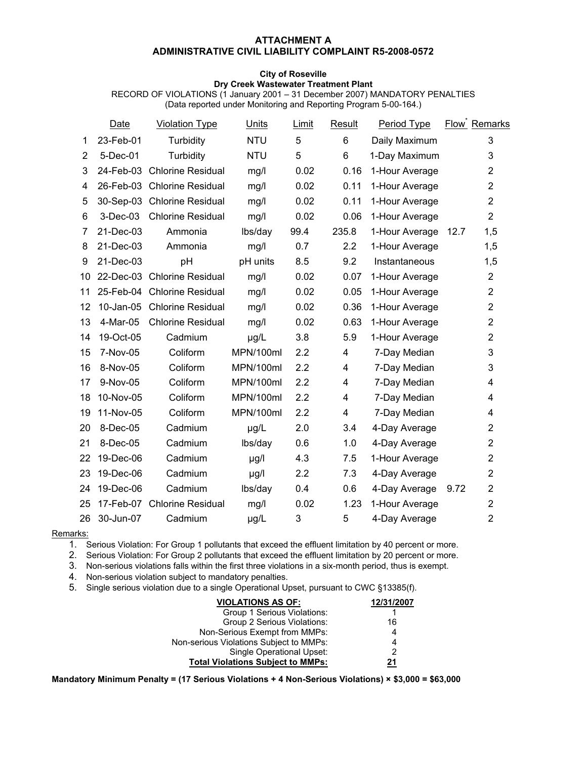#### **ATTACHMENT A ADMINISTRATIVE CIVIL LIABILITY COMPLAINT R5-2008-0572**

#### **City of Roseville Dry Creek Wastewater Treatment Plant**

RECORD OF VIOLATIONS (1 January 2001 – 31 December 2007) MANDATORY PENALTIES (Data reported under Monitoring and Reporting Program 5-00-164.)

|                | Date         | <b>Violation Type</b>       | <b>Units</b> | Limit | Result                  | Period Type    |      | <b>Flow</b> Remarks |
|----------------|--------------|-----------------------------|--------------|-------|-------------------------|----------------|------|---------------------|
| 1              | 23-Feb-01    | Turbidity                   | <b>NTU</b>   | 5     | 6                       | Daily Maximum  |      | 3                   |
| $\overline{2}$ | 5-Dec-01     | Turbidity                   | <b>NTU</b>   | 5     | 6                       | 1-Day Maximum  |      | 3                   |
| 3              | 24-Feb-03    | <b>Chlorine Residual</b>    | mg/l         | 0.02  | 0.16                    | 1-Hour Average |      | $\overline{2}$      |
| 4              | 26-Feb-03    | <b>Chlorine Residual</b>    | mg/l         | 0.02  | 0.11                    | 1-Hour Average |      | $\overline{2}$      |
| 5              |              | 30-Sep-03 Chlorine Residual | mg/l         | 0.02  | 0.11                    | 1-Hour Average |      | $\overline{2}$      |
| 6              | 3-Dec-03     | <b>Chlorine Residual</b>    | mg/l         | 0.02  | 0.06                    | 1-Hour Average |      | $\overline{2}$      |
| 7              | 21-Dec-03    | Ammonia                     | lbs/day      | 99.4  | 235.8                   | 1-Hour Average | 12.7 | 1,5                 |
| 8              | 21-Dec-03    | Ammonia                     | mg/l         | 0.7   | 2.2                     | 1-Hour Average |      | 1,5                 |
| 9              | 21-Dec-03    | pH                          | pH units     | 8.5   | 9.2                     | Instantaneous  |      | 1,5                 |
| 10             | 22-Dec-03    | <b>Chlorine Residual</b>    | mg/l         | 0.02  | 0.07                    | 1-Hour Average |      | $\overline{2}$      |
| 11             |              | 25-Feb-04 Chlorine Residual | mg/l         | 0.02  | 0.05                    | 1-Hour Average |      | $\overline{2}$      |
| 12             | $10$ -Jan-05 | <b>Chlorine Residual</b>    | mg/l         | 0.02  | 0.36                    | 1-Hour Average |      | $\overline{2}$      |
| 13             | 4-Mar-05     | <b>Chlorine Residual</b>    | mg/l         | 0.02  | 0.63                    | 1-Hour Average |      | $\overline{2}$      |
| 14             | 19-Oct-05    | Cadmium                     | µg/L         | 3.8   | 5.9                     | 1-Hour Average |      | $\overline{2}$      |
| 15             | 7-Nov-05     | Coliform                    | MPN/100ml    | 2.2   | $\overline{4}$          | 7-Day Median   |      | 3                   |
| 16             | 8-Nov-05     | Coliform                    | MPN/100ml    | 2.2   | 4                       | 7-Day Median   |      | 3                   |
| 17             | 9-Nov-05     | Coliform                    | MPN/100ml    | 2.2   | $\overline{\mathbf{4}}$ | 7-Day Median   |      | 4                   |
| 18             | 10-Nov-05    | Coliform                    | MPN/100ml    | 2.2   | $\overline{\mathbf{4}}$ | 7-Day Median   |      | 4                   |
| 19             | 11-Nov-05    | Coliform                    | MPN/100ml    | 2.2   | $\overline{4}$          | 7-Day Median   |      | 4                   |
| 20             | 8-Dec-05     | Cadmium                     | µg/L         | 2.0   | 3.4                     | 4-Day Average  |      | $\overline{2}$      |
| 21             | 8-Dec-05     | Cadmium                     | lbs/day      | 0.6   | 1.0                     | 4-Day Average  |      | $\overline{2}$      |
| 22             | 19-Dec-06    | Cadmium                     | µg/l         | 4.3   | 7.5                     | 1-Hour Average |      | $\overline{2}$      |
| 23             | 19-Dec-06    | Cadmium                     | $\mu$ g/l    | 2.2   | 7.3                     | 4-Day Average  |      | $\overline{2}$      |
| 24             | 19-Dec-06    | Cadmium                     | lbs/day      | 0.4   | 0.6                     | 4-Day Average  | 9.72 | $\overline{2}$      |
| 25             | 17-Feb-07    | <b>Chlorine Residual</b>    | mg/l         | 0.02  | 1.23                    | 1-Hour Average |      | $\overline{2}$      |
| 26             | 30-Jun-07    | Cadmium                     | µg/L         | 3     | 5                       | 4-Day Average  |      | $\overline{2}$      |
|                |              |                             |              |       |                         |                |      |                     |

Remarks:

1. Serious Violation: For Group 1 pollutants that exceed the effluent limitation by 40 percent or more.

2. Serious Violation: For Group 2 pollutants that exceed the effluent limitation by 20 percent or more.

3. Non-serious violations falls within the first three violations in a six-month period, thus is exempt.

4. Non-serious violation subject to mandatory penalties.

5. Single serious violation due to a single Operational Upset, pursuant to CWC §13385(f).

| <b>VIOLATIONS AS OF:</b>                 | 12/31/2007 |
|------------------------------------------|------------|
| Group 1 Serious Violations:              |            |
| Group 2 Serious Violations:              | 16         |
| Non-Serious Exempt from MMPs:            | 4          |
| Non-serious Violations Subject to MMPs:  | 4          |
| Single Operational Upset:                | 2          |
| <b>Total Violations Subject to MMPs:</b> | 21         |

**Mandatory Minimum Penalty = (17 Serious Violations + 4 Non-Serious Violations) × \$3,000 = \$63,000**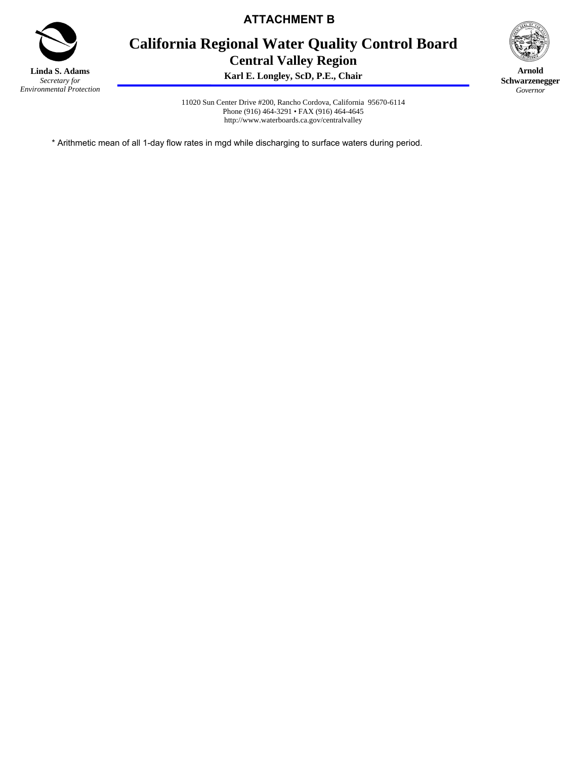

**ATTACHMENT B** 

# **California Regional Water Quality Control Board Central Valley Region**

**Karl E. Longley, ScD, P.E., Chair**



**Arnold Schwarzenegger** *Governor* 

11020 Sun Center Drive #200, Rancho Cordova, California 95670-6114 Phone (916) 464-3291 • FAX (916) 464-4645 http://www.waterboards.ca.gov/centralvalley

\* Arithmetic mean of all 1-day flow rates in mgd while discharging to surface waters during period.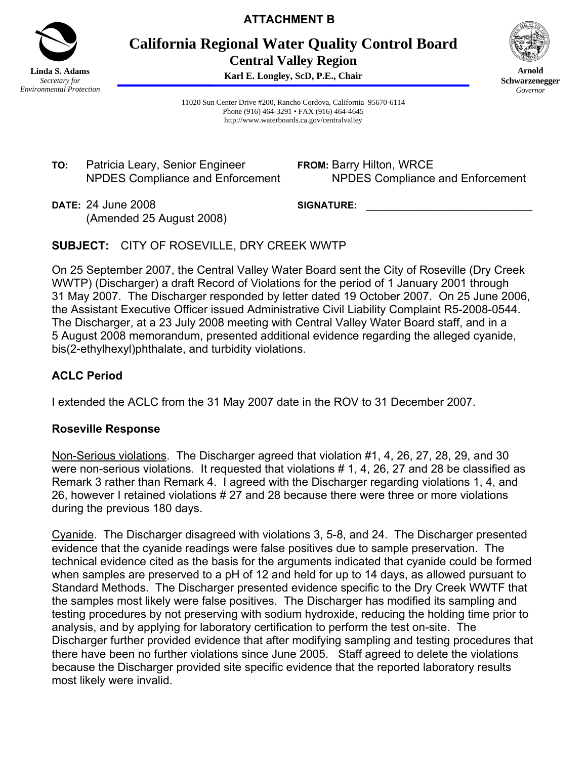

**ATTACHMENT B** 

**California Regional Water Quality Control Board Central Valley Region** 

**Karl E. Longley, ScD, P.E., Chair**



**Arnold Schwarzenegger** *Governor* 

11020 Sun Center Drive #200, Rancho Cordova, California 95670-6114 Phone (916) 464-3291 • FAX (916) 464-4645 http://www.waterboards.ca.gov/centralvalley

**TO:** Patricia Leary, Senior Engineer NPDES Compliance and Enforcement **FROM:** Barry Hilton, WRCE NPDES Compliance and Enforcement

**DATE:** 24 June 2008 (Amended 25 August 2008) SIGNATURE:

**SUBJECT:** CITY OF ROSEVILLE, DRY CREEK WWTP

On 25 September 2007, the Central Valley Water Board sent the City of Roseville (Dry Creek WWTP) (Discharger) a draft Record of Violations for the period of 1 January 2001 through 31 May 2007. The Discharger responded by letter dated 19 October 2007. On 25 June 2006, the Assistant Executive Officer issued Administrative Civil Liability Complaint R5-2008-0544. The Discharger, at a 23 July 2008 meeting with Central Valley Water Board staff, and in a 5 August 2008 memorandum, presented additional evidence regarding the alleged cyanide, bis(2-ethylhexyl)phthalate, and turbidity violations.

# **ACLC Period**

I extended the ACLC from the 31 May 2007 date in the ROV to 31 December 2007.

# **Roseville Response**

Non-Serious violations. The Discharger agreed that violation #1, 4, 26, 27, 28, 29, and 30 were non-serious violations. It requested that violations # 1, 4, 26, 27 and 28 be classified as Remark 3 rather than Remark 4. I agreed with the Discharger regarding violations 1, 4, and 26, however I retained violations # 27 and 28 because there were three or more violations during the previous 180 days.

Cyanide. The Discharger disagreed with violations 3, 5-8, and 24. The Discharger presented evidence that the cyanide readings were false positives due to sample preservation. The technical evidence cited as the basis for the arguments indicated that cyanide could be formed when samples are preserved to a pH of 12 and held for up to 14 days, as allowed pursuant to Standard Methods. The Discharger presented evidence specific to the Dry Creek WWTF that the samples most likely were false positives. The Discharger has modified its sampling and testing procedures by not preserving with sodium hydroxide, reducing the holding time prior to analysis, and by applying for laboratory certification to perform the test on-site. The Discharger further provided evidence that after modifying sampling and testing procedures that there have been no further violations since June 2005. Staff agreed to delete the violations because the Discharger provided site specific evidence that the reported laboratory results most likely were invalid.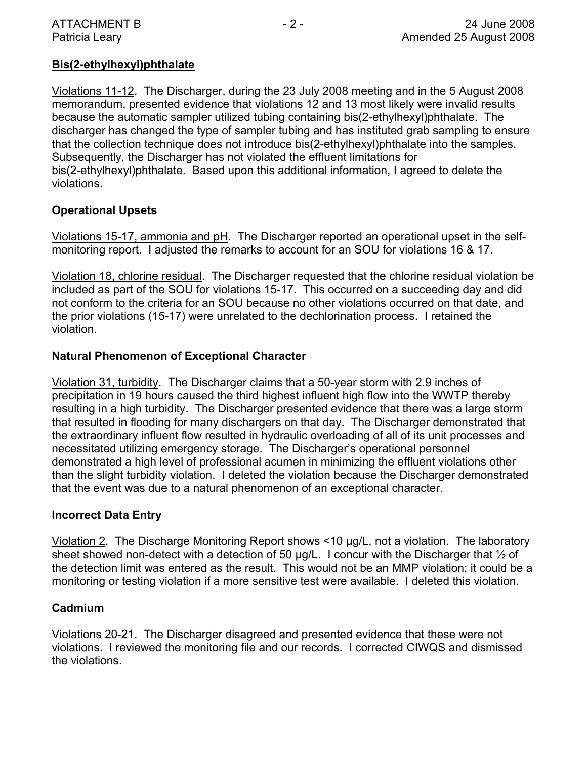# **Bis(2-ethylhexyl)phthalate**

Violations 11-12. The Discharger, during the 23 July 2008 meeting and in the 5 August 2008 memorandum, presented evidence that violations 12 and 13 most likely were invalid results because the automatic sampler utilized tubing containing bis(2-ethylhexyl)phthalate. The discharger has changed the type of sampler tubing and has instituted grab sampling to ensure that the collection technique does not introduce bis(2-ethylhexyl)phthalate into the samples. Subsequently, the Discharger has not violated the effluent limitations for bis(2-ethylhexyl)phthalate. Based upon this additional information, I agreed to delete the violations.

# **Operational Upsets**

Violations 15-17, ammonia and pH. The Discharger reported an operational upset in the selfmonitoring report. I adjusted the remarks to account for an SOU for violations 16 & 17.

Violation 18, chlorine residual. The Discharger requested that the chlorine residual violation be included as part of the SOU for violations 15-17. This occurred on a succeeding day and did not conform to the criteria for an SOU because no other violations occurred on that date, and the prior violations (15-17) were unrelated to the dechlorination process. I retained the violation.

# **Natural Phenomenon of Exceptional Character**

Violation 31, turbidity. The Discharger claims that a 50-year storm with 2.9 inches of precipitation in 19 hours caused the third highest influent high flow into the WWTP thereby resulting in a high turbidity. The Discharger presented evidence that there was a large storm that resulted in flooding for many dischargers on that day. The Discharger demonstrated that the extraordinary influent flow resulted in hydraulic overloading of all of its unit processes and necessitated utilizing emergency storage. The Discharger's operational personnel demonstrated a high level of professional acumen in minimizing the effluent violations other than the slight turbidity violation. I deleted the violation because the Discharger demonstrated that the event was due to a natural phenomenon of an exceptional character.

# **Incorrect Data Entry**

Violation 2. The Discharge Monitoring Report shows <10 µg/L, not a violation. The laboratory sheet showed non-detect with a detection of 50  $\mu$ g/L. I concur with the Discharger that  $\frac{1}{2}$  of the detection limit was entered as the result. This would not be an MMP violation; it could be a monitoring or testing violation if a more sensitive test were available. I deleted this violation.

# **Cadmium**

Violations 20-21. The Discharger disagreed and presented evidence that these were not violations. I reviewed the monitoring file and our records. I corrected CIWQS and dismissed the violations.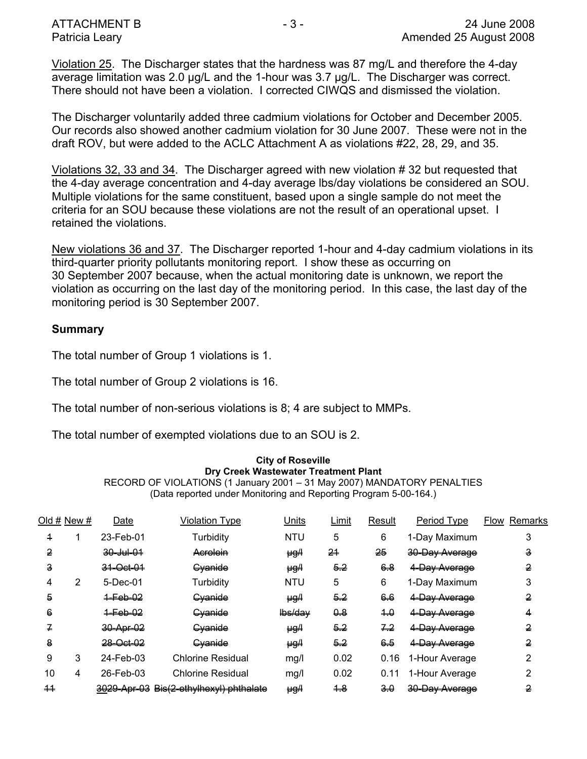Violation 25. The Discharger states that the hardness was 87 mg/L and therefore the 4-day average limitation was 2.0 µg/L and the 1-hour was 3.7 µg/L. The Discharger was correct. There should not have been a violation. I corrected CIWQS and dismissed the violation.

The Discharger voluntarily added three cadmium violations for October and December 2005. Our records also showed another cadmium violation for 30 June 2007. These were not in the draft ROV, but were added to the ACLC Attachment A as violations #22, 28, 29, and 35.

Violations 32, 33 and 34. The Discharger agreed with new violation # 32 but requested that the 4-day average concentration and 4-day average lbs/day violations be considered an SOU. Multiple violations for the same constituent, based upon a single sample do not meet the criteria for an SOU because these violations are not the result of an operational upset. I retained the violations.

New violations 36 and 37. The Discharger reported 1-hour and 4-day cadmium violations in its third-quarter priority pollutants monitoring report. I show these as occurring on 30 September 2007 because, when the actual monitoring date is unknown, we report the violation as occurring on the last day of the monitoring period. In this case, the last day of the monitoring period is 30 September 2007.

# **Summary**

The total number of Group 1 violations is 1.

The total number of Group 2 violations is 16.

The total number of non-serious violations is 8; 4 are subject to MMPs.

The total number of exempted violations due to an SOU is 2.

#### **City of Roseville Dry Creek Wastewater Treatment Plant**

RECORD OF VIOLATIONS (1 January 2001 – 31 May 2007) MANDATORY PENALTIES (Data reported under Monitoring and Reporting Program 5-00-164.)

| Old # New #     |   | Date                 | <b>Violation Type</b>                   | Units           | Limit          | Result | Period Type    | <b>Flow Remarks</b> |
|-----------------|---|----------------------|-----------------------------------------|-----------------|----------------|--------|----------------|---------------------|
| 4               |   | 23-Feb-01            | Turbidity                               | <b>NTU</b>      | 5              | 6      | 1-Day Maximum  | 3                   |
| 2               |   | <del>30 Jul 01</del> | Acrolein                                | <del>µg/l</del> | 21             | 25     | 30 Day Average | з                   |
| з               |   | 31 Oct 01            | Cyanide                                 | ₩g,             | <del>5.2</del> | 6.8    | 4 Day Average  | 2                   |
| 4               | 2 | 5-Dec-01             | Turbidity                               | <b>NTU</b>      | 5              | 6      | 1-Day Maximum  | 3                   |
| 5               |   | $4 - 66 - 02$        | Cvanide                                 | $\mu g$         | $5 - 2$        | 6.6    | 4 Day Average  | 2                   |
| 6               |   | $+$ Feb $-02$        | <b>Cyanide</b>                          | Hos/day         | $\theta$       | $+0$   | 4-Day Average  | 4                   |
| 7               |   | 30-Apr-02            | <b>Cyanide</b>                          | <del>µg/l</del> | <del>5.2</del> | 7.2    | 4-Day Average  | 2                   |
| 8               |   | 28-Oct-02            | <b>Cyanide</b>                          | <del>µg/l</del> | 5.2            | 6.5    | 4-Day Average  | 2                   |
| 9               | 3 | 24-Feb-03            | <b>Chlorine Residual</b>                | mg/l            | 0.02           | 0.16   | 1-Hour Average | 2                   |
| 10              | 4 | 26-Feb-03            | <b>Chlorine Residual</b>                | mg/l            | 0.02           | 0.11   | 1-Hour Average | 2                   |
| $\overline{11}$ |   |                      | 3029-Apr-03 Bis(2-ethylhexyl) phthalate | HgH             | <del>1.8</del> | $-3.0$ | 30-Day Average | 2                   |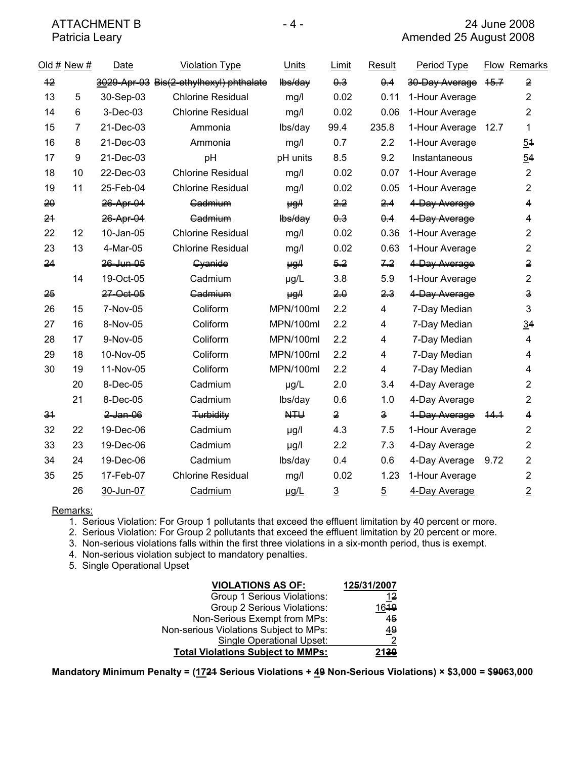|    | Old # New #    | Date        | <b>Violation Type</b>                   | <b>Units</b>   | Limit          | Result                  | Period Type    |      | Flow Remarks            |
|----|----------------|-------------|-----------------------------------------|----------------|----------------|-------------------------|----------------|------|-------------------------|
| 42 |                |             | 3029 Apr 03 Bis(2 ethylhexyl) phthalate | lbs/day        | 0.3            | Q.4                     | 30 Day Average | 46.7 | 2                       |
| 13 | 5              | 30-Sep-03   | <b>Chlorine Residual</b>                | mg/l           | 0.02           | 0.11                    | 1-Hour Average |      | $\overline{2}$          |
| 14 | 6              | 3-Dec-03    | <b>Chlorine Residual</b>                | mg/l           | 0.02           | 0.06                    | 1-Hour Average |      | $\overline{2}$          |
| 15 | $\overline{7}$ | 21-Dec-03   | Ammonia                                 | lbs/day        | 99.4           | 235.8                   | 1-Hour Average | 12.7 | 1                       |
| 16 | 8              | 21-Dec-03   | Ammonia                                 | mg/l           | 0.7            | 2.2                     | 1-Hour Average |      | 54                      |
| 17 | 9              | 21-Dec-03   | pH                                      | pH units       | 8.5            | 9.2                     | Instantaneous  |      | 54                      |
| 18 | 10             | 22-Dec-03   | <b>Chlorine Residual</b>                | mg/l           | 0.02           | 0.07                    | 1-Hour Average |      | $\overline{2}$          |
| 19 | 11             | 25-Feb-04   | <b>Chlorine Residual</b>                | mg/l           | 0.02           | 0.05                    | 1-Hour Average |      | $\overline{2}$          |
| 20 |                | 26-Apr-04   | Gadmium                                 | $\mu g$ /      | 2,2            | 2.4                     | 4-Day Average  |      | 4                       |
| 24 |                | 26-Apr-04   | Gadmium                                 | lbs/day        | 0.3            | 0.4                     | 4-Day Average  |      | 4                       |
| 22 | 12             | 10-Jan-05   | <b>Chlorine Residual</b>                | mg/l           | 0.02           | 0.36                    | 1-Hour Average |      | $\overline{2}$          |
| 23 | 13             | 4-Mar-05    | <b>Chlorine Residual</b>                | mg/l           | 0.02           | 0.63                    | 1-Hour Average |      | $\overline{2}$          |
| 24 |                | 26 Jun 05   | Cyanide                                 | HgH            | $5 - 2$        | 7.2                     | 4 Day Average  |      | 2                       |
|    | 14             | 19-Oct-05   | Cadmium                                 | µg/L           | 3.8            | 5.9                     | 1-Hour Average |      | $\overline{2}$          |
| 25 |                | 27 Oct 05   | Cadmium                                 | HgH            | 20             | $23 -$                  | 4 Day Average  |      | 3                       |
| 26 | 15             | 7-Nov-05    | Coliform                                | MPN/100ml      | 2.2            | 4                       | 7-Day Median   |      | 3                       |
| 27 | 16             | 8-Nov-05    | Coliform                                | MPN/100ml      | 2.2            | 4                       | 7-Day Median   |      | $\overline{34}$         |
| 28 | 17             | 9-Nov-05    | Coliform                                | MPN/100ml      | 2.2            | 4                       | 7-Day Median   |      | $\overline{\mathbf{4}}$ |
| 29 | 18             | 10-Nov-05   | Coliform                                | MPN/100ml      | 2.2            | 4                       | 7-Day Median   |      | 4                       |
| 30 | 19             | 11-Nov-05   | Coliform                                | MPN/100ml      | 2.2            | 4                       | 7-Day Median   |      | 4                       |
|    | 20             | 8-Dec-05    | Cadmium                                 | $\mu g/L$      | 2.0            | 3.4                     | 4-Day Average  |      | $\overline{2}$          |
|    | 21             | 8-Dec-05    | Cadmium                                 | lbs/day        | 0.6            | 1.0                     | 4-Day Average  |      | $\overline{2}$          |
| 34 |                | $2$ -Jan-06 | <b>Turbidity</b>                        | H <sub>1</sub> | $\overline{2}$ | $\overline{\mathbf{3}}$ | 4-Day Average  | 44.1 | 4                       |
| 32 | 22             | 19-Dec-06   | Cadmium                                 | µg/l           | 4.3            | 7.5                     | 1-Hour Average |      | 2                       |
| 33 | 23             | 19-Dec-06   | Cadmium                                 | µg/l           | 2.2            | 7.3                     | 4-Day Average  |      | $\overline{2}$          |
| 34 | 24             | 19-Dec-06   | Cadmium                                 | lbs/day        | 0.4            | 0.6                     | 4-Day Average  | 9.72 | $\overline{2}$          |
| 35 | 25             | 17-Feb-07   | <b>Chlorine Residual</b>                | mg/l           | 0.02           | 1.23                    | 1-Hour Average |      | $\overline{c}$          |
|    | 26             | 30-Jun-07   | Cadmium                                 | ug/L           | $\overline{3}$ | $\overline{5}$          | 4-Day Average  |      | $\overline{2}$          |

Remarks:

1. Serious Violation: For Group 1 pollutants that exceed the effluent limitation by 40 percent or more.

2. Serious Violation: For Group 2 pollutants that exceed the effluent limitation by 20 percent or more.

3. Non-serious violations falls within the first three violations in a six-month period, thus is exempt.

4. Non-serious violation subject to mandatory penalties.

5. Single Operational Upset

| <b>VIOLATIONS AS OF:</b>                 | 125/31/2007 |
|------------------------------------------|-------------|
| Group 1 Serious Violations:              | 12          |
| Group 2 Serious Violations:              | 1619        |
| Non-Serious Exempt from MPs:             | 45          |
| Non-serious Violations Subject to MPs:   | 49          |
| <b>Single Operational Upset:</b>         | ົ           |
| <b>Total Violations Subject to MMPs:</b> | 2130        |

**Mandatory Minimum Penalty = (1721 Serious Violations + 49 Non-Serious Violations) × \$3,000 = \$9063,000**